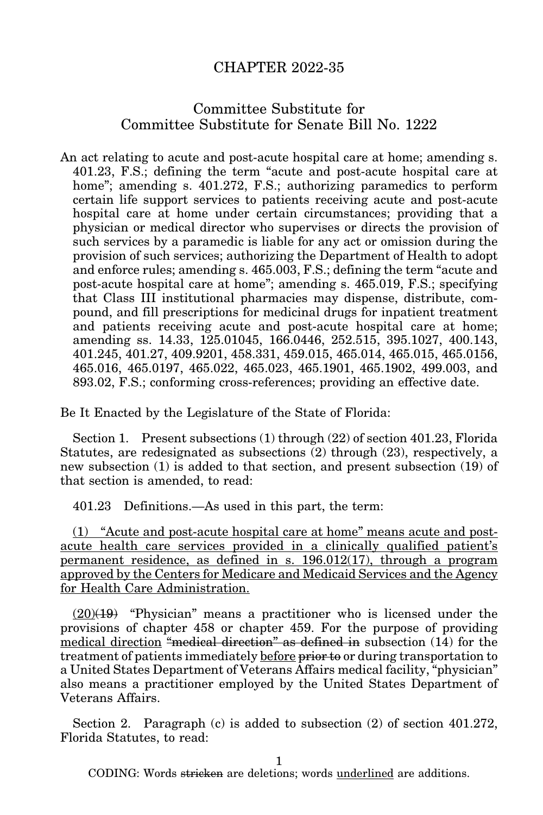## CHAPTER 2022-35

## Committee Substitute for Committee Substitute for Senate Bill No. 1222

An act relating to acute and post-acute hospital care at home; amending s. 401.23, F.S.; defining the term "acute and post-acute hospital care at home"; amending s. 401.272, F.S.; authorizing paramedics to perform certain life support services to patients receiving acute and post-acute hospital care at home under certain circumstances; providing that a physician or medical director who supervises or directs the provision of such services by a paramedic is liable for any act or omission during the provision of such services; authorizing the Department of Health to adopt and enforce rules; amending s. 465.003, F.S.; defining the term "acute and post-acute hospital care at home"; amending s. 465.019, F.S.; specifying that Class III institutional pharmacies may dispense, distribute, compound, and fill prescriptions for medicinal drugs for inpatient treatment and patients receiving acute and post-acute hospital care at home; amending ss. 14.33, 125.01045, 166.0446, 252.515, 395.1027, 400.143, 401.245, 401.27, 409.9201, 458.331, 459.015, 465.014, 465.015, 465.0156, 465.016, 465.0197, 465.022, 465.023, 465.1901, 465.1902, 499.003, and 893.02, F.S.; conforming cross-references; providing an effective date.

Be It Enacted by the Legislature of the State of Florida:

Section 1. Present subsections (1) through (22) of section 401.23, Florida Statutes, are redesignated as subsections (2) through (23), respectively, a new subsection (1) is added to that section, and present subsection (19) of that section is amended, to read:

401.23 Definitions.—As used in this part, the term:

(1) "Acute and post-acute hospital care at home" means acute and postacute health care services provided in a clinically qualified patient's permanent residence, as defined in s. 196.012(17), through a program approved by the Centers for Medicare and Medicaid Services and the Agency for Health Care Administration.

 $(20)(19)$  "Physician" means a practitioner who is licensed under the provisions of chapter 458 or chapter 459. For the purpose of providing medical direction "medical direction" as defined in subsection (14) for the treatment of patients immediately before prior to or during transportation to a United States Department of Veterans Affairs medical facility, "physician" also means a practitioner employed by the United States Department of Veterans Affairs.

Section 2. Paragraph (c) is added to subsection (2) of section 401.272, Florida Statutes, to read:

1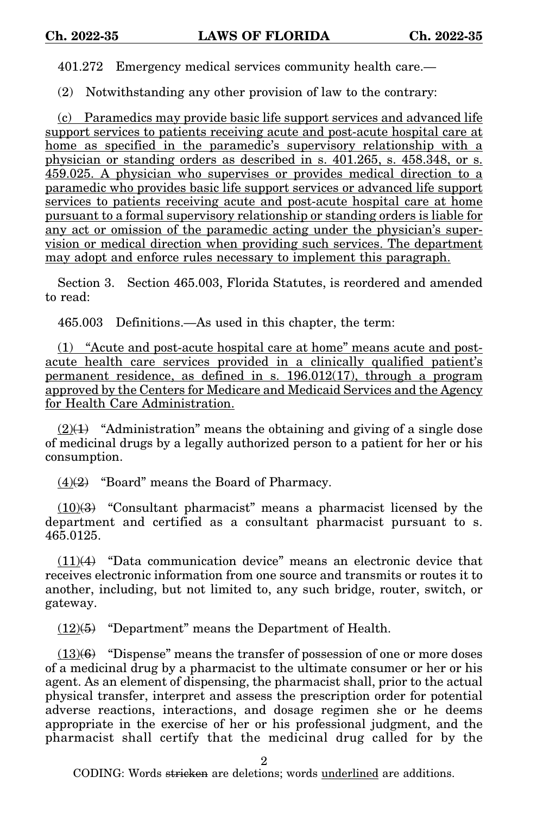401.272 Emergency medical services community health care.—

(2) Notwithstanding any other provision of law to the contrary:

(c) Paramedics may provide basic life support services and advanced life support services to patients receiving acute and post-acute hospital care at home as specified in the paramedic's supervisory relationship with a physician or standing orders as described in s. 401.265, s. 458.348, or s. 459.025. A physician who supervises or provides medical direction to a paramedic who provides basic life support services or advanced life support services to patients receiving acute and post-acute hospital care at home pursuant to a formal supervisory relationship or standing orders is liable for any act or omission of the paramedic acting under the physician's supervision or medical direction when providing such services. The department may adopt and enforce rules necessary to implement this paragraph.

Section 3. Section 465.003, Florida Statutes, is reordered and amended to read:

465.003 Definitions.—As used in this chapter, the term:

(1) "Acute and post-acute hospital care at home" means acute and postacute health care services provided in a clinically qualified patient's permanent residence, as defined in s. 196.012(17), through a program approved by the Centers for Medicare and Medicaid Services and the Agency for Health Care Administration.

 $(2)(1)$  "Administration" means the obtaining and giving of a single dose of medicinal drugs by a legally authorized person to a patient for her or his consumption.

 $(4)(2)$  "Board" means the Board of Pharmacy.

 $(10)(3)$  "Consultant pharmacist" means a pharmacist licensed by the department and certified as a consultant pharmacist pursuant to s. 465.0125.

 $(11)(4)$  "Data communication device" means an electronic device that receives electronic information from one source and transmits or routes it to another, including, but not limited to, any such bridge, router, switch, or gateway.

(12)(5) "Department" means the Department of Health.

 $(13)(6)$  "Dispense" means the transfer of possession of one or more doses of a medicinal drug by a pharmacist to the ultimate consumer or her or his agent. As an element of dispensing, the pharmacist shall, prior to the actual physical transfer, interpret and assess the prescription order for potential adverse reactions, interactions, and dosage regimen she or he deems appropriate in the exercise of her or his professional judgment, and the pharmacist shall certify that the medicinal drug called for by the

2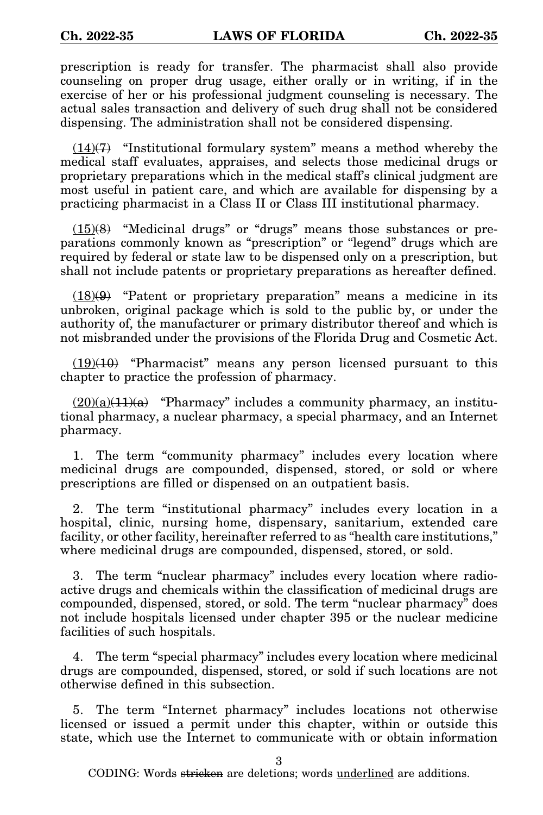prescription is ready for transfer. The pharmacist shall also provide counseling on proper drug usage, either orally or in writing, if in the exercise of her or his professional judgment counseling is necessary. The actual sales transaction and delivery of such drug shall not be considered dispensing. The administration shall not be considered dispensing.

 $(14)(7)$  "Institutional formulary system" means a method whereby the medical staff evaluates, appraises, and selects those medicinal drugs or proprietary preparations which in the medical staff's clinical judgment are most useful in patient care, and which are available for dispensing by a practicing pharmacist in a Class II or Class III institutional pharmacy.

 $(15)(8)$  "Medicinal drugs" or "drugs" means those substances or preparations commonly known as "prescription" or "legend" drugs which are required by federal or state law to be dispensed only on a prescription, but shall not include patents or proprietary preparations as hereafter defined.

 $(18)(9)$  "Patent or proprietary preparation" means a medicine in its unbroken, original package which is sold to the public by, or under the authority of, the manufacturer or primary distributor thereof and which is not misbranded under the provisions of the Florida Drug and Cosmetic Act.

(19)(10) "Pharmacist" means any person licensed pursuant to this chapter to practice the profession of pharmacy.

 $(20)(a)(11)(a)$  "Pharmacy" includes a community pharmacy, an institutional pharmacy, a nuclear pharmacy, a special pharmacy, and an Internet pharmacy.

1. The term "community pharmacy" includes every location where medicinal drugs are compounded, dispensed, stored, or sold or where prescriptions are filled or dispensed on an outpatient basis.

2. The term "institutional pharmacy" includes every location in a hospital, clinic, nursing home, dispensary, sanitarium, extended care facility, or other facility, hereinafter referred to as "health care institutions," where medicinal drugs are compounded, dispensed, stored, or sold.

3. The term "nuclear pharmacy" includes every location where radioactive drugs and chemicals within the classification of medicinal drugs are compounded, dispensed, stored, or sold. The term "nuclear pharmacy" does not include hospitals licensed under chapter 395 or the nuclear medicine facilities of such hospitals.

4. The term "special pharmacy" includes every location where medicinal drugs are compounded, dispensed, stored, or sold if such locations are not otherwise defined in this subsection.

5. The term "Internet pharmacy" includes locations not otherwise licensed or issued a permit under this chapter, within or outside this state, which use the Internet to communicate with or obtain information

3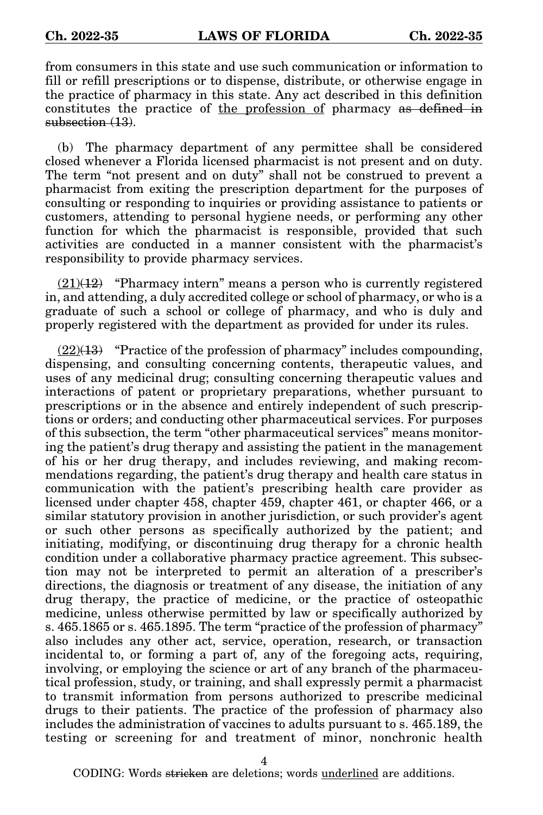from consumers in this state and use such communication or information to fill or refill prescriptions or to dispense, distribute, or otherwise engage in the practice of pharmacy in this state. Any act described in this definition constitutes the practice of the profession of pharmacy as defined in subsection (13).

(b) The pharmacy department of any permittee shall be considered closed whenever a Florida licensed pharmacist is not present and on duty. The term "not present and on duty" shall not be construed to prevent a pharmacist from exiting the prescription department for the purposes of consulting or responding to inquiries or providing assistance to patients or customers, attending to personal hygiene needs, or performing any other function for which the pharmacist is responsible, provided that such activities are conducted in a manner consistent with the pharmacist's responsibility to provide pharmacy services.

 $(21)(12)$  "Pharmacy intern" means a person who is currently registered in, and attending, a duly accredited college or school of pharmacy, or who is a graduate of such a school or college of pharmacy, and who is duly and properly registered with the department as provided for under its rules.

 $(22)(13)$  "Practice of the profession of pharmacy" includes compounding, dispensing, and consulting concerning contents, therapeutic values, and uses of any medicinal drug; consulting concerning therapeutic values and interactions of patent or proprietary preparations, whether pursuant to prescriptions or in the absence and entirely independent of such prescriptions or orders; and conducting other pharmaceutical services. For purposes of this subsection, the term "other pharmaceutical services" means monitoring the patient's drug therapy and assisting the patient in the management of his or her drug therapy, and includes reviewing, and making recommendations regarding, the patient's drug therapy and health care status in communication with the patient's prescribing health care provider as licensed under chapter 458, chapter 459, chapter 461, or chapter 466, or a similar statutory provision in another jurisdiction, or such provider's agent or such other persons as specifically authorized by the patient; and initiating, modifying, or discontinuing drug therapy for a chronic health condition under a collaborative pharmacy practice agreement. This subsection may not be interpreted to permit an alteration of a prescriber's directions, the diagnosis or treatment of any disease, the initiation of any drug therapy, the practice of medicine, or the practice of osteopathic medicine, unless otherwise permitted by law or specifically authorized by s. 465.1865 or s. 465.1895. The term "practice of the profession of pharmacy" also includes any other act, service, operation, research, or transaction incidental to, or forming a part of, any of the foregoing acts, requiring, involving, or employing the science or art of any branch of the pharmaceutical profession, study, or training, and shall expressly permit a pharmacist to transmit information from persons authorized to prescribe medicinal drugs to their patients. The practice of the profession of pharmacy also includes the administration of vaccines to adults pursuant to s. 465.189, the testing or screening for and treatment of minor, nonchronic health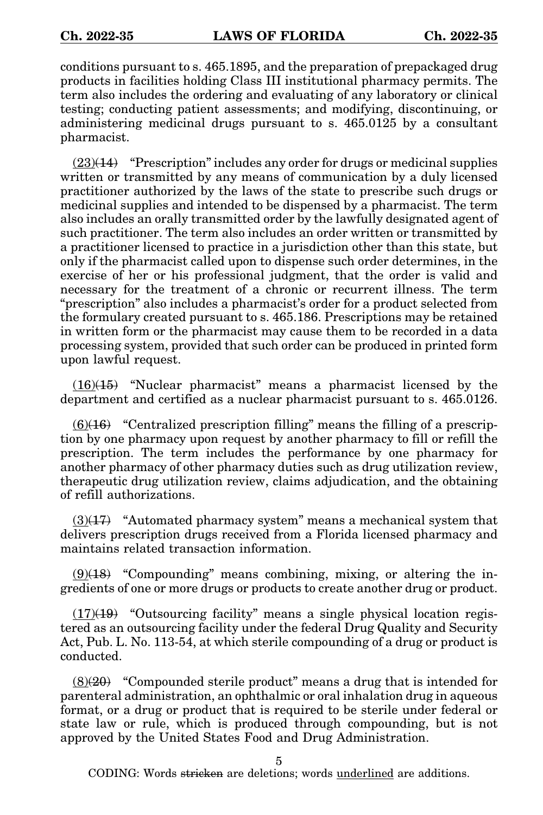conditions pursuant to s. 465.1895, and the preparation of prepackaged drug products in facilities holding Class III institutional pharmacy permits. The term also includes the ordering and evaluating of any laboratory or clinical testing; conducting patient assessments; and modifying, discontinuing, or administering medicinal drugs pursuant to s. 465.0125 by a consultant pharmacist.

 $(23)(14)$  "Prescription" includes any order for drugs or medicinal supplies written or transmitted by any means of communication by a duly licensed practitioner authorized by the laws of the state to prescribe such drugs or medicinal supplies and intended to be dispensed by a pharmacist. The term also includes an orally transmitted order by the lawfully designated agent of such practitioner. The term also includes an order written or transmitted by a practitioner licensed to practice in a jurisdiction other than this state, but only if the pharmacist called upon to dispense such order determines, in the exercise of her or his professional judgment, that the order is valid and necessary for the treatment of a chronic or recurrent illness. The term "prescription" also includes a pharmacist's order for a product selected from the formulary created pursuant to s. 465.186. Prescriptions may be retained in written form or the pharmacist may cause them to be recorded in a data processing system, provided that such order can be produced in printed form upon lawful request.

 $(16)(15)$  "Nuclear pharmacist" means a pharmacist licensed by the department and certified as a nuclear pharmacist pursuant to s. 465.0126.

 $(6)(16)$  "Centralized prescription filling" means the filling of a prescription by one pharmacy upon request by another pharmacy to fill or refill the prescription. The term includes the performance by one pharmacy for another pharmacy of other pharmacy duties such as drug utilization review, therapeutic drug utilization review, claims adjudication, and the obtaining of refill authorizations.

 $(3)(17)$  "Automated pharmacy system" means a mechanical system that delivers prescription drugs received from a Florida licensed pharmacy and maintains related transaction information.

 $(9)(18)$  "Compounding" means combining, mixing, or altering the ingredients of one or more drugs or products to create another drug or product.

 $(17)(19)$  "Outsourcing facility" means a single physical location registered as an outsourcing facility under the federal Drug Quality and Security Act, Pub. L. No. 113-54, at which sterile compounding of a drug or product is conducted.

 $(8)(20)$  "Compounded sterile product" means a drug that is intended for parenteral administration, an ophthalmic or oral inhalation drug in aqueous format, or a drug or product that is required to be sterile under federal or state law or rule, which is produced through compounding, but is not approved by the United States Food and Drug Administration.

5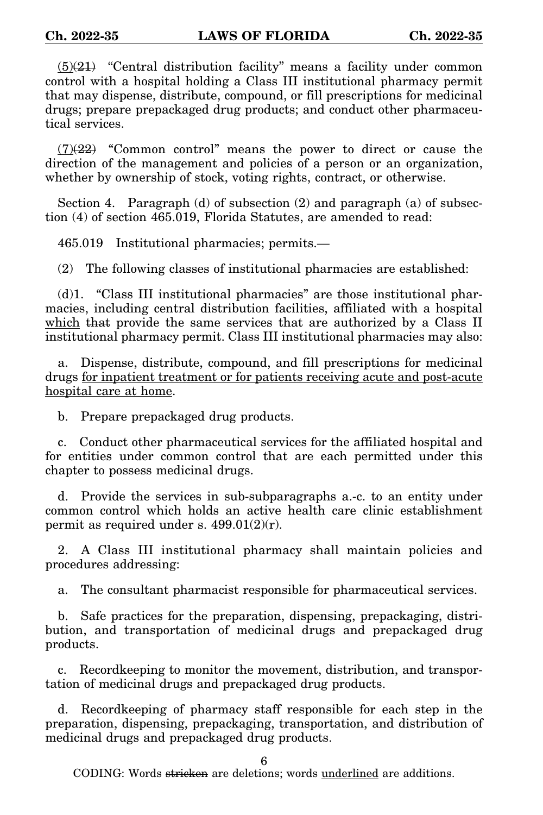$(5)(21)$  "Central distribution facility" means a facility under common control with a hospital holding a Class III institutional pharmacy permit that may dispense, distribute, compound, or fill prescriptions for medicinal drugs; prepare prepackaged drug products; and conduct other pharmaceutical services.

 $(7)(22)$  "Common control" means the power to direct or cause the direction of the management and policies of a person or an organization, whether by ownership of stock, voting rights, contract, or otherwise.

Section 4. Paragraph (d) of subsection (2) and paragraph (a) of subsection (4) of section 465.019, Florida Statutes, are amended to read:

465.019 Institutional pharmacies; permits.—

(2) The following classes of institutional pharmacies are established:

(d)1. "Class III institutional pharmacies" are those institutional pharmacies, including central distribution facilities, affiliated with a hospital which that provide the same services that are authorized by a Class II institutional pharmacy permit. Class III institutional pharmacies may also:

a. Dispense, distribute, compound, and fill prescriptions for medicinal drugs for inpatient treatment or for patients receiving acute and post-acute hospital care at home.

b. Prepare prepackaged drug products.

c. Conduct other pharmaceutical services for the affiliated hospital and for entities under common control that are each permitted under this chapter to possess medicinal drugs.

d. Provide the services in sub-subparagraphs a.-c. to an entity under common control which holds an active health care clinic establishment permit as required under s.  $499.01(2)(r)$ .

2. A Class III institutional pharmacy shall maintain policies and procedures addressing:

a. The consultant pharmacist responsible for pharmaceutical services.

b. Safe practices for the preparation, dispensing, prepackaging, distribution, and transportation of medicinal drugs and prepackaged drug products.

c. Recordkeeping to monitor the movement, distribution, and transportation of medicinal drugs and prepackaged drug products.

d. Recordkeeping of pharmacy staff responsible for each step in the preparation, dispensing, prepackaging, transportation, and distribution of medicinal drugs and prepackaged drug products.

6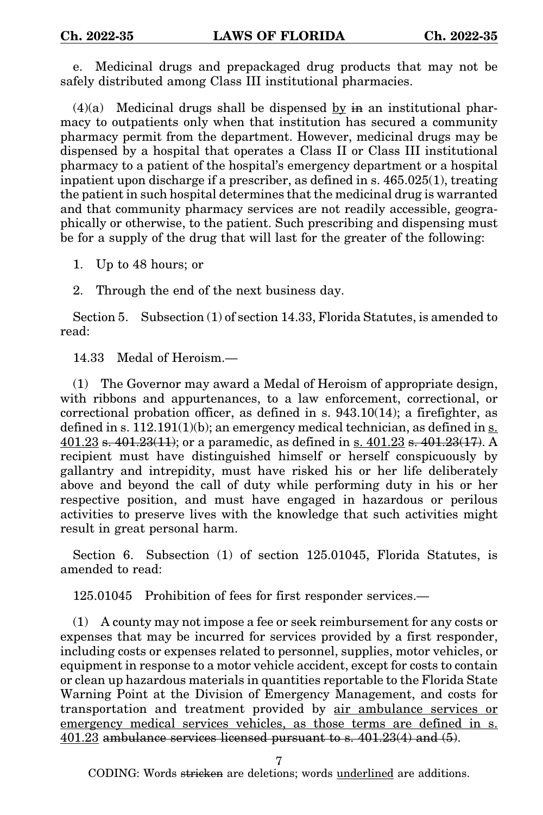e. Medicinal drugs and prepackaged drug products that may not be safely distributed among Class III institutional pharmacies.

 $(4)(a)$  Medicinal drugs shall be dispensed by in an institutional pharmacy to outpatients only when that institution has secured a community pharmacy permit from the department. However, medicinal drugs may be dispensed by a hospital that operates a Class II or Class III institutional pharmacy to a patient of the hospital's emergency department or a hospital inpatient upon discharge if a prescriber, as defined in s. 465.025(1), treating the patient in such hospital determines that the medicinal drug is warranted and that community pharmacy services are not readily accessible, geographically or otherwise, to the patient. Such prescribing and dispensing must be for a supply of the drug that will last for the greater of the following:

1. Up to 48 hours; or

2. Through the end of the next business day.

Section 5. Subsection (1) of section 14.33, Florida Statutes, is amended to read:

14.33 Medal of Heroism.—

(1) The Governor may award a Medal of Heroism of appropriate design, with ribbons and appurtenances, to a law enforcement, correctional, or correctional probation officer, as defined in s. 943.10(14); a firefighter, as defined in s.  $112.191(1)(b)$ ; an emergency medical technician, as defined in s. 401.23 s. 401.23(11); or a paramedic, as defined in s. 401.23 s. 401.23(17). A recipient must have distinguished himself or herself conspicuously by gallantry and intrepidity, must have risked his or her life deliberately above and beyond the call of duty while performing duty in his or her respective position, and must have engaged in hazardous or perilous activities to preserve lives with the knowledge that such activities might result in great personal harm.

Section 6. Subsection (1) of section 125.01045, Florida Statutes, is amended to read:

125.01045 Prohibition of fees for first responder services.—

(1) A county may not impose a fee or seek reimbursement for any costs or expenses that may be incurred for services provided by a first responder, including costs or expenses related to personnel, supplies, motor vehicles, or equipment in response to a motor vehicle accident, except for costs to contain or clean up hazardous materials in quantities reportable to the Florida State Warning Point at the Division of Emergency Management, and costs for transportation and treatment provided by air ambulance services or emergency medical services vehicles, as those terms are defined in s. 401.23 ambulance services licensed pursuant to s. 401.23(4) and (5).

7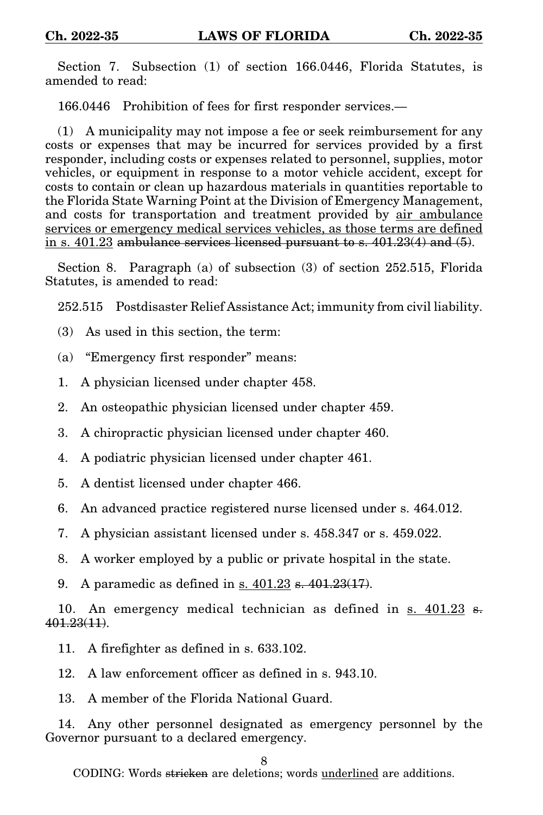Section 7. Subsection (1) of section 166.0446, Florida Statutes, is amended to read:

166.0446 Prohibition of fees for first responder services.—

(1) A municipality may not impose a fee or seek reimbursement for any costs or expenses that may be incurred for services provided by a first responder, including costs or expenses related to personnel, supplies, motor vehicles, or equipment in response to a motor vehicle accident, except for costs to contain or clean up hazardous materials in quantities reportable to the Florida State Warning Point at the Division of Emergency Management, and costs for transportation and treatment provided by air ambulance services or emergency medical services vehicles, as those terms are defined in s. 401.23 ambulance services licensed pursuant to s. 401.23(4) and (5).

Section 8. Paragraph (a) of subsection (3) of section 252.515, Florida Statutes, is amended to read:

252.515 Postdisaster Relief Assistance Act; immunity from civil liability.

- (3) As used in this section, the term:
- (a) "Emergency first responder" means:
- 1. A physician licensed under chapter 458.
- 2. An osteopathic physician licensed under chapter 459.
- 3. A chiropractic physician licensed under chapter 460.
- 4. A podiatric physician licensed under chapter 461.
- 5. A dentist licensed under chapter 466.
- 6. An advanced practice registered nurse licensed under s. 464.012.
- 7. A physician assistant licensed under s. 458.347 or s. 459.022.
- 8. A worker employed by a public or private hospital in the state.
- 9. A paramedic as defined in  $s$ . 401.23 s. 401.23(17).

10. An emergency medical technician as defined in s.  $401.23$  s. 401.23(11).

- 11. A firefighter as defined in s. 633.102.
- 12. A law enforcement officer as defined in s. 943.10.

13. A member of the Florida National Guard.

14. Any other personnel designated as emergency personnel by the Governor pursuant to a declared emergency.

## 8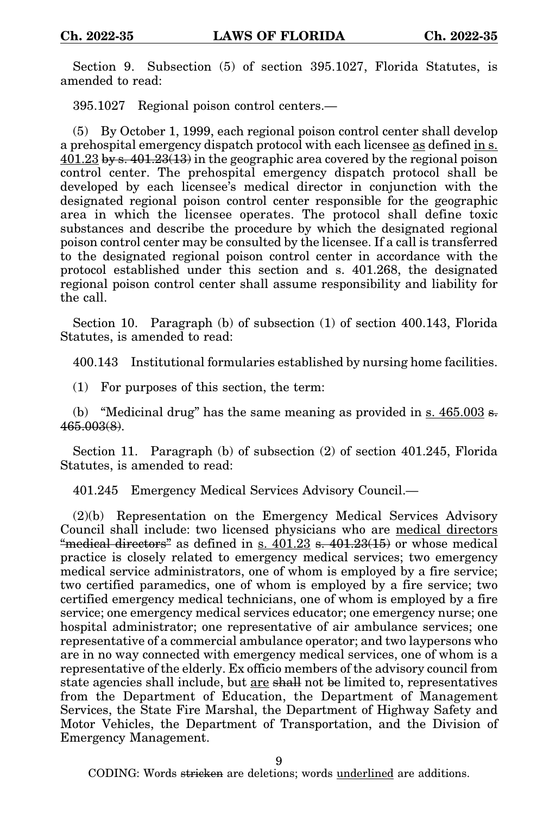Section 9. Subsection (5) of section 395.1027, Florida Statutes, is amended to read:

395.1027 Regional poison control centers.—

(5) By October 1, 1999, each regional poison control center shall develop a prehospital emergency dispatch protocol with each licensee as defined in s.  $401.23 \overline{\text{by s.}}401.23(13)$  in the geographic area covered by the regional poison control center. The prehospital emergency dispatch protocol shall be developed by each licensee's medical director in conjunction with the designated regional poison control center responsible for the geographic area in which the licensee operates. The protocol shall define toxic substances and describe the procedure by which the designated regional poison control center may be consulted by the licensee. If a call is transferred to the designated regional poison control center in accordance with the protocol established under this section and s. 401.268, the designated regional poison control center shall assume responsibility and liability for the call.

Section 10. Paragraph (b) of subsection (1) of section 400.143, Florida Statutes, is amended to read:

400.143 Institutional formularies established by nursing home facilities.

(1) For purposes of this section, the term:

(b) "Medicinal drug" has the same meaning as provided in s.  $465.003$  s. 465.003(8).

Section 11. Paragraph (b) of subsection (2) of section 401.245, Florida Statutes, is amended to read:

401.245 Emergency Medical Services Advisory Council.—

(2)(b) Representation on the Emergency Medical Services Advisory Council shall include: two licensed physicians who are medical directors "medical directors" as defined in s.  $401.23$  s.  $401.23(15)$  or whose medical practice is closely related to emergency medical services; two emergency medical service administrators, one of whom is employed by a fire service; two certified paramedics, one of whom is employed by a fire service; two certified emergency medical technicians, one of whom is employed by a fire service; one emergency medical services educator; one emergency nurse; one hospital administrator; one representative of air ambulance services; one representative of a commercial ambulance operator; and two laypersons who are in no way connected with emergency medical services, one of whom is a representative of the elderly. Ex officio members of the advisory council from state agencies shall include, but are shall not be limited to, representatives from the Department of Education, the Department of Management Services, the State Fire Marshal, the Department of Highway Safety and Motor Vehicles, the Department of Transportation, and the Division of Emergency Management.

 $\mathbf Q$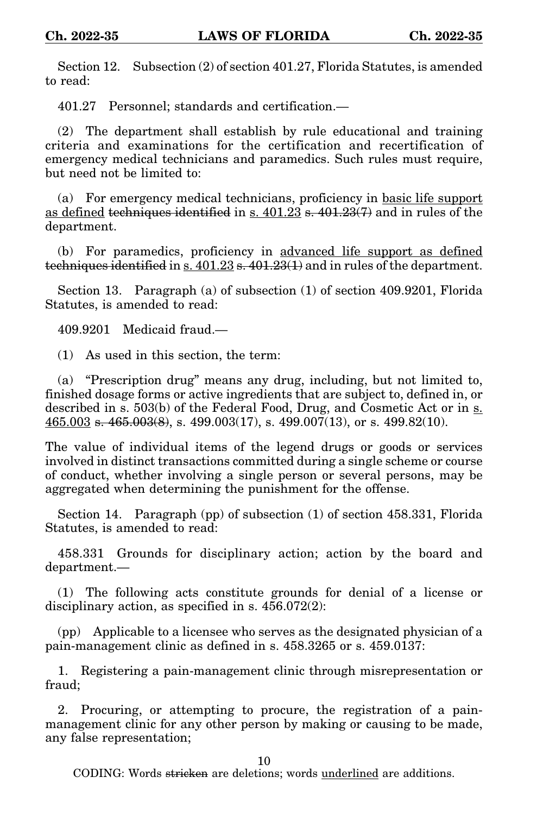Section 12. Subsection (2) of section 401.27, Florida Statutes, is amended to read:

401.27 Personnel; standards and certification.—

(2) The department shall establish by rule educational and training criteria and examinations for the certification and recertification of emergency medical technicians and paramedics. Such rules must require, but need not be limited to:

(a) For emergency medical technicians, proficiency in basic life support as defined techniques identified in s.  $401.23$  s.  $401.23(7)$  and in rules of the department.

(b) For paramedics, proficiency in advanced life support as defined techniques identified in s. 401.23 s. 401.23(1) and in rules of the department.

Section 13. Paragraph (a) of subsection (1) of section 409.9201, Florida Statutes, is amended to read:

409.9201 Medicaid fraud.—

(1) As used in this section, the term:

(a) "Prescription drug" means any drug, including, but not limited to, finished dosage forms or active ingredients that are subject to, defined in, or described in s. 503(b) of the Federal Food, Drug, and Cosmetic Act or in s.  $465.003$  s.  $465.003(8)$ , s.  $499.003(17)$ , s.  $499.007(13)$ , or s.  $499.82(10)$ .

The value of individual items of the legend drugs or goods or services involved in distinct transactions committed during a single scheme or course of conduct, whether involving a single person or several persons, may be aggregated when determining the punishment for the offense.

Section 14. Paragraph (pp) of subsection (1) of section 458.331, Florida Statutes, is amended to read:

458.331 Grounds for disciplinary action; action by the board and department.—

(1) The following acts constitute grounds for denial of a license or disciplinary action, as specified in s. 456.072(2):

(pp) Applicable to a licensee who serves as the designated physician of a pain-management clinic as defined in s. 458.3265 or s. 459.0137:

1. Registering a pain-management clinic through misrepresentation or fraud;

2. Procuring, or attempting to procure, the registration of a painmanagement clinic for any other person by making or causing to be made, any false representation;

10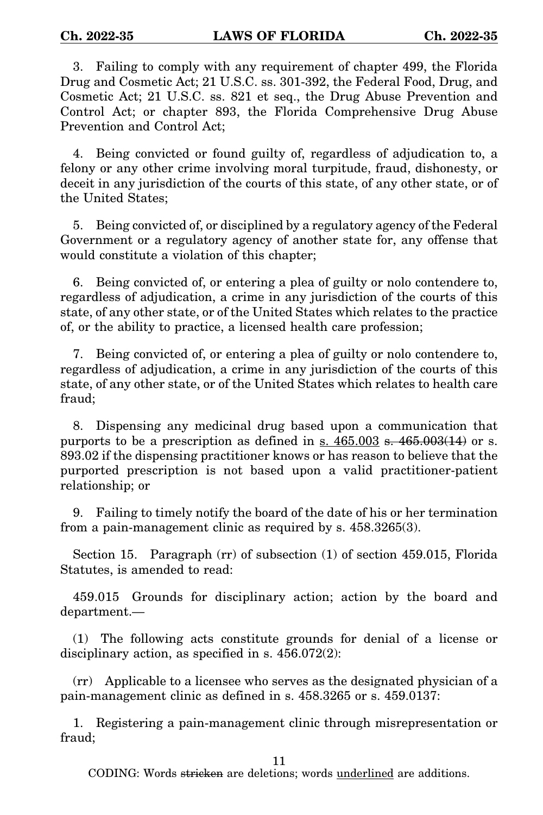3. Failing to comply with any requirement of chapter 499, the Florida Drug and Cosmetic Act; 21 U.S.C. ss. 301-392, the Federal Food, Drug, and Cosmetic Act; 21 U.S.C. ss. 821 et seq., the Drug Abuse Prevention and Control Act; or chapter 893, the Florida Comprehensive Drug Abuse Prevention and Control Act;

4. Being convicted or found guilty of, regardless of adjudication to, a felony or any other crime involving moral turpitude, fraud, dishonesty, or deceit in any jurisdiction of the courts of this state, of any other state, or of the United States;

5. Being convicted of, or disciplined by a regulatory agency of the Federal Government or a regulatory agency of another state for, any offense that would constitute a violation of this chapter;

6. Being convicted of, or entering a plea of guilty or nolo contendere to, regardless of adjudication, a crime in any jurisdiction of the courts of this state, of any other state, or of the United States which relates to the practice of, or the ability to practice, a licensed health care profession;

7. Being convicted of, or entering a plea of guilty or nolo contendere to, regardless of adjudication, a crime in any jurisdiction of the courts of this state, of any other state, or of the United States which relates to health care fraud;

8. Dispensing any medicinal drug based upon a communication that purports to be a prescription as defined in s.  $465.003$  s.  $465.003(14)$  or s. 893.02 if the dispensing practitioner knows or has reason to believe that the purported prescription is not based upon a valid practitioner-patient relationship; or

9. Failing to timely notify the board of the date of his or her termination from a pain-management clinic as required by s. 458.3265(3).

Section 15. Paragraph (rr) of subsection (1) of section 459.015, Florida Statutes, is amended to read:

459.015 Grounds for disciplinary action; action by the board and department.—

(1) The following acts constitute grounds for denial of a license or disciplinary action, as specified in s. 456.072(2):

(rr) Applicable to a licensee who serves as the designated physician of a pain-management clinic as defined in s. 458.3265 or s. 459.0137:

1. Registering a pain-management clinic through misrepresentation or fraud;

11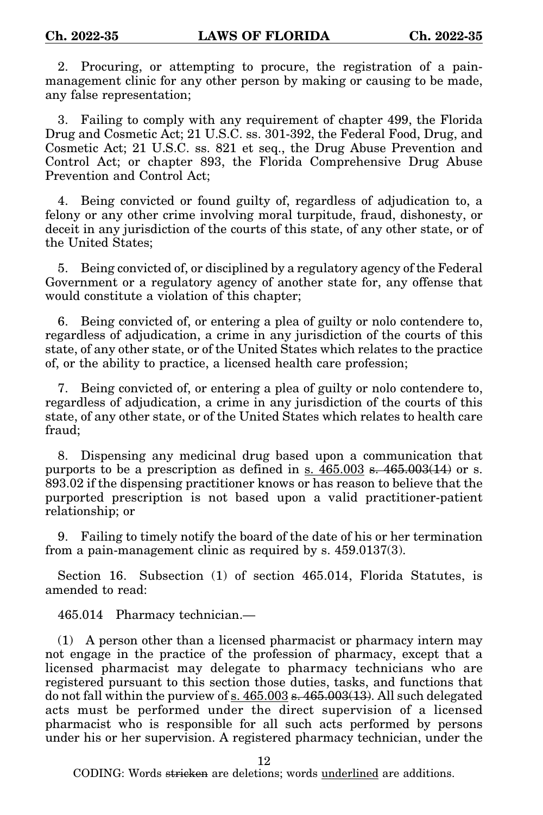2. Procuring, or attempting to procure, the registration of a painmanagement clinic for any other person by making or causing to be made, any false representation;

3. Failing to comply with any requirement of chapter 499, the Florida Drug and Cosmetic Act; 21 U.S.C. ss. 301-392, the Federal Food, Drug, and Cosmetic Act; 21 U.S.C. ss. 821 et seq., the Drug Abuse Prevention and Control Act; or chapter 893, the Florida Comprehensive Drug Abuse Prevention and Control Act;

4. Being convicted or found guilty of, regardless of adjudication to, a felony or any other crime involving moral turpitude, fraud, dishonesty, or deceit in any jurisdiction of the courts of this state, of any other state, or of the United States;

5. Being convicted of, or disciplined by a regulatory agency of the Federal Government or a regulatory agency of another state for, any offense that would constitute a violation of this chapter;

6. Being convicted of, or entering a plea of guilty or nolo contendere to, regardless of adjudication, a crime in any jurisdiction of the courts of this state, of any other state, or of the United States which relates to the practice of, or the ability to practice, a licensed health care profession;

7. Being convicted of, or entering a plea of guilty or nolo contendere to, regardless of adjudication, a crime in any jurisdiction of the courts of this state, of any other state, or of the United States which relates to health care fraud;

8. Dispensing any medicinal drug based upon a communication that purports to be a prescription as defined in s.  $465.003$  s.  $465.003(14)$  or s. 893.02 if the dispensing practitioner knows or has reason to believe that the purported prescription is not based upon a valid practitioner-patient relationship; or

9. Failing to timely notify the board of the date of his or her termination from a pain-management clinic as required by s. 459.0137(3).

Section 16. Subsection (1) of section 465.014, Florida Statutes, is amended to read:

465.014 Pharmacy technician.—

(1) A person other than a licensed pharmacist or pharmacy intern may not engage in the practice of the profession of pharmacy, except that a licensed pharmacist may delegate to pharmacy technicians who are registered pursuant to this section those duties, tasks, and functions that do not fall within the purview of  $s. 465.003 s. 465.003(13)$ . All such delegated acts must be performed under the direct supervision of a licensed pharmacist who is responsible for all such acts performed by persons under his or her supervision. A registered pharmacy technician, under the

12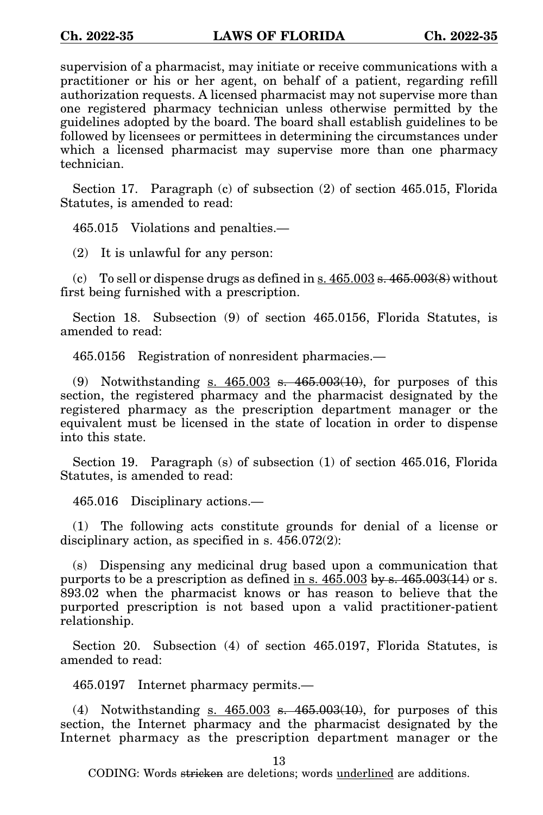supervision of a pharmacist, may initiate or receive communications with a practitioner or his or her agent, on behalf of a patient, regarding refill authorization requests. A licensed pharmacist may not supervise more than one registered pharmacy technician unless otherwise permitted by the guidelines adopted by the board. The board shall establish guidelines to be followed by licensees or permittees in determining the circumstances under which a licensed pharmacist may supervise more than one pharmacy technician.

Section 17. Paragraph (c) of subsection (2) of section 465.015, Florida Statutes, is amended to read:

465.015 Violations and penalties.—

(2) It is unlawful for any person:

(c) To sell or dispense drugs as defined in  $s. 465.003 s. 465.003(8)$  without first being furnished with a prescription.

Section 18. Subsection (9) of section 465.0156, Florida Statutes, is amended to read:

465.0156 Registration of nonresident pharmacies.—

(9) Notwithstanding s.  $465.003$  s.  $465.003(10)$ , for purposes of this section, the registered pharmacy and the pharmacist designated by the registered pharmacy as the prescription department manager or the equivalent must be licensed in the state of location in order to dispense into this state.

Section 19. Paragraph (s) of subsection (1) of section 465.016, Florida Statutes, is amended to read:

465.016 Disciplinary actions.—

(1) The following acts constitute grounds for denial of a license or disciplinary action, as specified in s. 456.072(2):

(s) Dispensing any medicinal drug based upon a communication that purports to be a prescription as defined in s.  $465.003$  by s.  $465.003(14)$  or s. 893.02 when the pharmacist knows or has reason to believe that the purported prescription is not based upon a valid practitioner-patient relationship.

Section 20. Subsection (4) of section 465.0197, Florida Statutes, is amended to read:

465.0197 Internet pharmacy permits.—

(4) Notwithstanding s.  $465.003$  s.  $465.003(10)$ , for purposes of this section, the Internet pharmacy and the pharmacist designated by the Internet pharmacy as the prescription department manager or the

13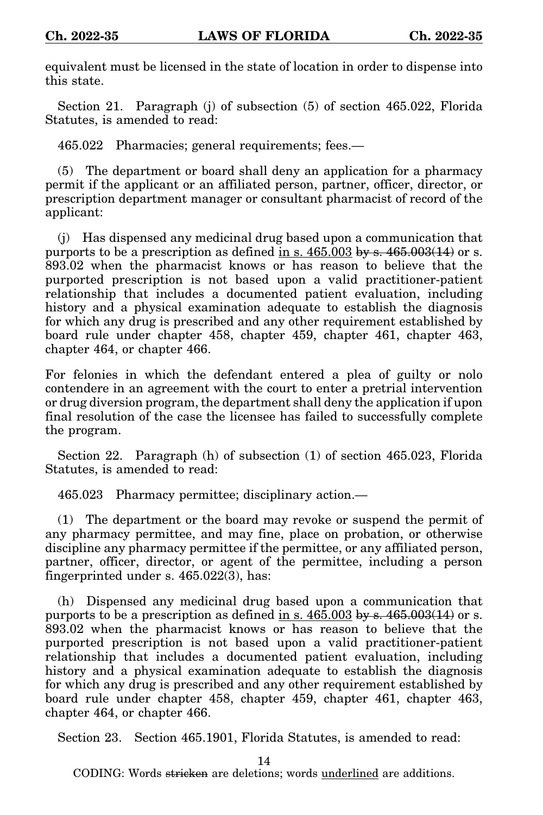equivalent must be licensed in the state of location in order to dispense into this state.

Section 21. Paragraph (j) of subsection (5) of section 465.022, Florida Statutes, is amended to read:

465.022 Pharmacies; general requirements; fees.—

(5) The department or board shall deny an application for a pharmacy permit if the applicant or an affiliated person, partner, officer, director, or prescription department manager or consultant pharmacist of record of the applicant:

(j) Has dispensed any medicinal drug based upon a communication that purports to be a prescription as defined in s.  $465.003$  by s.  $465.003(14)$  or s. 893.02 when the pharmacist knows or has reason to believe that the purported prescription is not based upon a valid practitioner-patient relationship that includes a documented patient evaluation, including history and a physical examination adequate to establish the diagnosis for which any drug is prescribed and any other requirement established by board rule under chapter 458, chapter 459, chapter 461, chapter 463, chapter 464, or chapter 466.

For felonies in which the defendant entered a plea of guilty or nolo contendere in an agreement with the court to enter a pretrial intervention or drug diversion program, the department shall deny the application if upon final resolution of the case the licensee has failed to successfully complete the program.

Section 22. Paragraph (h) of subsection (1) of section 465.023, Florida Statutes, is amended to read:

465.023 Pharmacy permittee; disciplinary action.—

(1) The department or the board may revoke or suspend the permit of any pharmacy permittee, and may fine, place on probation, or otherwise discipline any pharmacy permittee if the permittee, or any affiliated person, partner, officer, director, or agent of the permittee, including a person fingerprinted under s. 465.022(3), has:

(h) Dispensed any medicinal drug based upon a communication that purports to be a prescription as defined in s.  $465.003$  by s.  $465.003(14)$  or s. 893.02 when the pharmacist knows or has reason to believe that the purported prescription is not based upon a valid practitioner-patient relationship that includes a documented patient evaluation, including history and a physical examination adequate to establish the diagnosis for which any drug is prescribed and any other requirement established by board rule under chapter 458, chapter 459, chapter 461, chapter 463, chapter 464, or chapter 466.

Section 23. Section 465.1901, Florida Statutes, is amended to read:

14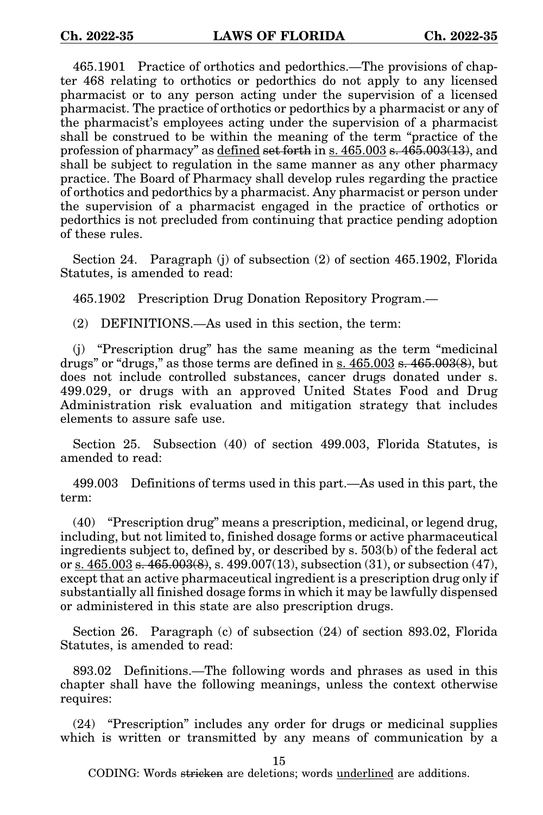465.1901 Practice of orthotics and pedorthics.—The provisions of chapter 468 relating to orthotics or pedorthics do not apply to any licensed pharmacist or to any person acting under the supervision of a licensed pharmacist. The practice of orthotics or pedorthics by a pharmacist or any of the pharmacist's employees acting under the supervision of a pharmacist shall be construed to be within the meaning of the term "practice of the profession of pharmacy" as defined set forth in s. 465.003 s. 465.003(13), and shall be subject to regulation in the same manner as any other pharmacy practice. The Board of Pharmacy shall develop rules regarding the practice of orthotics and pedorthics by a pharmacist. Any pharmacist or person under the supervision of a pharmacist engaged in the practice of orthotics or pedorthics is not precluded from continuing that practice pending adoption of these rules.

Section 24. Paragraph (j) of subsection (2) of section 465.1902, Florida Statutes, is amended to read:

465.1902 Prescription Drug Donation Repository Program.—

(2) DEFINITIONS.—As used in this section, the term:

(j) "Prescription drug" has the same meaning as the term "medicinal drugs" or "drugs," as those terms are defined in s.  $465.003$  s.  $465.003(8)$ , but does not include controlled substances, cancer drugs donated under s. 499.029, or drugs with an approved United States Food and Drug Administration risk evaluation and mitigation strategy that includes elements to assure safe use.

Section 25. Subsection (40) of section 499.003, Florida Statutes, is amended to read:

499.003 Definitions of terms used in this part.—As used in this part, the term:

(40) "Prescription drug" means a prescription, medicinal, or legend drug, including, but not limited to, finished dosage forms or active pharmaceutical ingredients subject to, defined by, or described by s. 503(b) of the federal act or s.  $465.003$  s.  $465.003(8)$ , s.  $499.007(13)$ , subsection  $(31)$ , or subsection  $(47)$ , except that an active pharmaceutical ingredient is a prescription drug only if substantially all finished dosage forms in which it may be lawfully dispensed or administered in this state are also prescription drugs.

Section 26. Paragraph (c) of subsection (24) of section 893.02, Florida Statutes, is amended to read:

893.02 Definitions.—The following words and phrases as used in this chapter shall have the following meanings, unless the context otherwise requires:

(24) "Prescription" includes any order for drugs or medicinal supplies which is written or transmitted by any means of communication by a

15